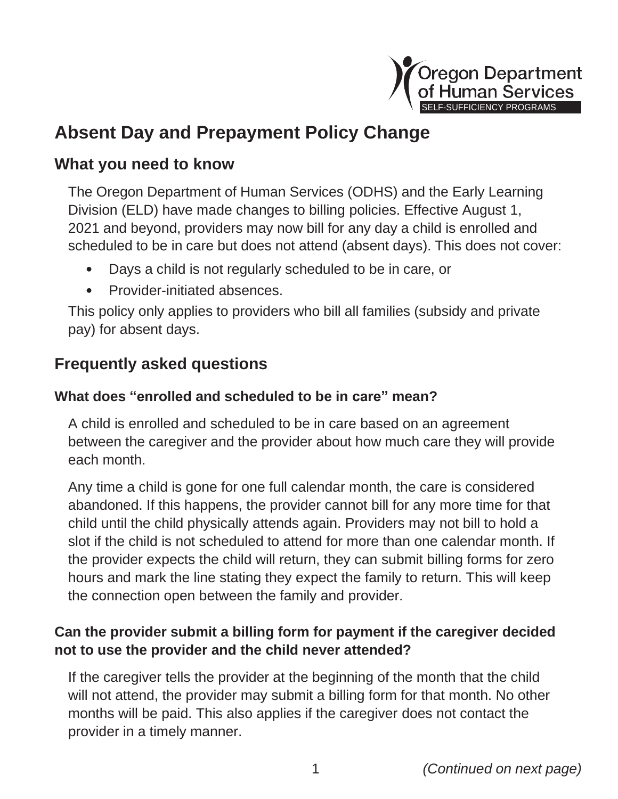

# **Absent Day and Prepayment Policy Change**

## **What you need to know**

The Oregon Department of Human Services (ODHS) and the Early Learning Division (ELD) have made changes to billing policies. Effective August 1, 2021 and beyond, providers may now bill for any day a child is enrolled and scheduled to be in care but does not attend (absent days). This does not cover:

- **•** Days a child is not regularly scheduled to be in care, or
- **•** Provider-initiated absences.

This policy only applies to providers who bill all families (subsidy and private pay) for absent days.

## **Frequently asked questions**

## **What does "enrolled and scheduled to be in care" mean?**

A child is enrolled and scheduled to be in care based on an agreement between the caregiver and the provider about how much care they will provide each month.

Any time a child is gone for one full calendar month, the care is considered abandoned. If this happens, the provider cannot bill for any more time for that child until the child physically attends again. Providers may not bill to hold a slot if the child is not scheduled to attend for more than one calendar month. If the provider expects the child will return, they can submit billing forms for zero hours and mark the line stating they expect the family to return. This will keep the connection open between the family and provider.

## **Can the provider submit a billing form for payment if the caregiver decided not to use the provider and the child never attended?**

If the caregiver tells the provider at the beginning of the month that the child will not attend, the provider may submit a billing form for that month. No other months will be paid. This also applies if the caregiver does not contact the provider in a timely manner.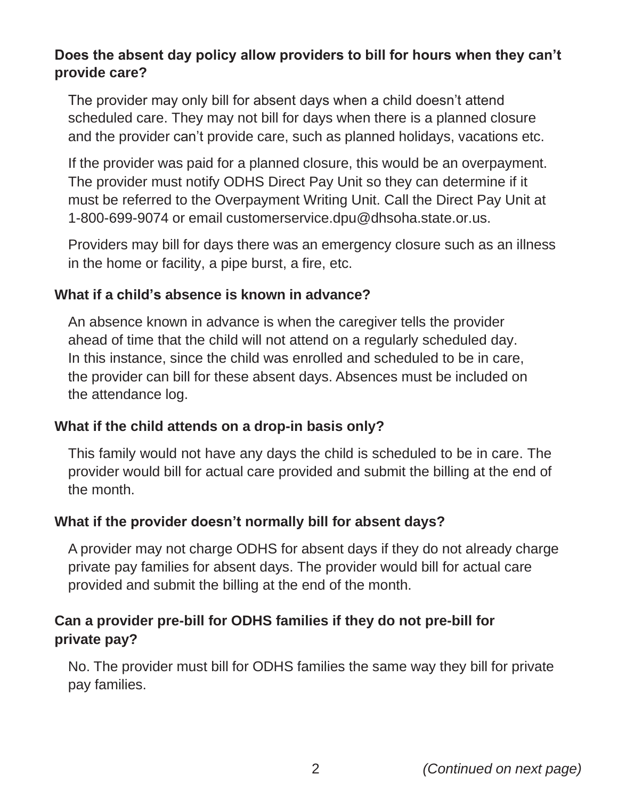#### **Does the absent day policy allow providers to bill for hours when they can't provide care?**

The provider may only bill for absent days when a child doesn't attend scheduled care. They may not bill for days when there is a planned closure and the provider can't provide care, such as planned holidays, vacations etc.

If the provider was paid for a planned closure, this would be an overpayment. The provider must notify ODHS Direct Pay Unit so they can determine if it must be referred to the Overpayment Writing Unit. Call the Direct Pay Unit at 1-800-699-9074 or email [customerservice.dpu@dhsoha.state.or.us.](mailto:customerservice.dpu@dhsoha.state.or.us)

Providers may bill for days there was an emergency closure such as an illness in the home or facility, a pipe burst, a fire, etc.

#### **What if a child's absence is known in advance?**

An absence known in advance is when the caregiver tells the provider ahead of time that the child will not attend on a regularly scheduled day. In this instance, since the child was enrolled and scheduled to be in care, the provider can bill for these absent days. Absences must be included on the attendance log.

#### **What if the child attends on a drop-in basis only?**

This family would not have any days the child is scheduled to be in care. The provider would bill for actual care provided and submit the billing at the end of the month.

#### **What if the provider doesn't normally bill for absent days?**

A provider may not charge ODHS for absent days if they do not already charge private pay families for absent days. The provider would bill for actual care provided and submit the billing at the end of the month.

### **Can a provider pre-bill for ODHS families if they do not pre-bill for private pay?**

No. The provider must bill for ODHS families the same way they bill for private pay families.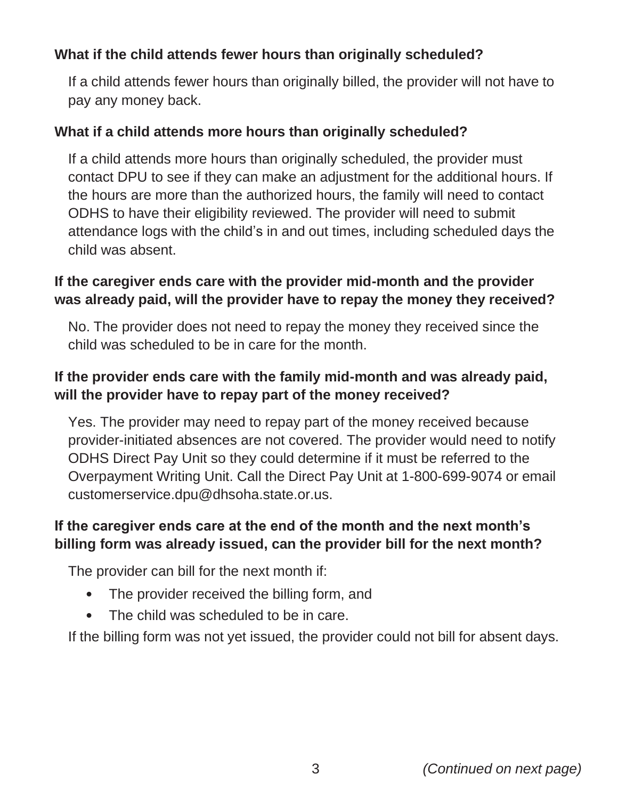## **What if the child attends fewer hours than originally scheduled?**

If a child attends fewer hours than originally billed, the provider will not have to pay any money back.

#### **What if a child attends more hours than originally scheduled?**

If a child attends more hours than originally scheduled, the provider must contact DPU to see if they can make an adjustment for the additional hours. If the hours are more than the authorized hours, the family will need to contact ODHS to have their eligibility reviewed. The provider will need to submit attendance logs with the child's in and out times, including scheduled days the child was absent.

#### **If the caregiver ends care with the provider mid-month and the provider was already paid, will the provider have to repay the money they received?**

No. The provider does not need to repay the money they received since the child was scheduled to be in care for the month.

## **If the provider ends care with the family mid-month and was already paid, will the provider have to repay part of the money received?**

Yes. The provider may need to repay part of the money received because provider-initiated absences are not covered. The provider would need to notify ODHS Direct Pay Unit so they could determine if it must be referred to the Overpayment Writing Unit. Call the Direct Pay Unit at 1-800-699-9074 or email [customerservice.dpu@dhsoha.state.or.us.](mailto:customerservice.dpu@dhsoha.state.or.us)

### **If the caregiver ends care at the end of the month and the next month's billing form was already issued, can the provider bill for the next month?**

The provider can bill for the next month if:

- **•** The provider received the billing form, and
- **•** The child was scheduled to be in care.

If the billing form was not yet issued, the provider could not bill for absent days.